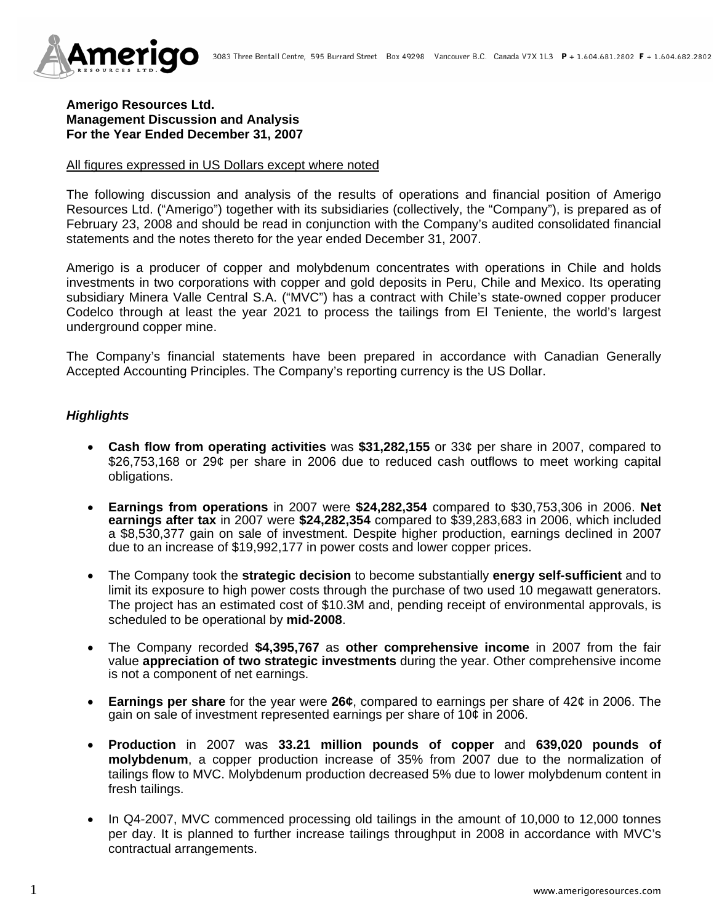

# **Amerigo Resources Ltd. Management Discussion and Analysis For the Year Ended December 31, 2007**

#### All figures expressed in US Dollars except where noted

The following discussion and analysis of the results of operations and financial position of Amerigo Resources Ltd. ("Amerigo") together with its subsidiaries (collectively, the "Company"), is prepared as of February 23, 2008 and should be read in conjunction with the Company's audited consolidated financial statements and the notes thereto for the year ended December 31, 2007.

Amerigo is a producer of copper and molybdenum concentrates with operations in Chile and holds investments in two corporations with copper and gold deposits in Peru, Chile and Mexico. Its operating subsidiary Minera Valle Central S.A. ("MVC") has a contract with Chile's state-owned copper producer Codelco through at least the year 2021 to process the tailings from El Teniente, the world's largest underground copper mine.

The Company's financial statements have been prepared in accordance with Canadian Generally Accepted Accounting Principles. The Company's reporting currency is the US Dollar.

## *Highlights*

- **Cash flow from operating activities** was **\$31,282,155** or 33¢ per share in 2007, compared to \$26,753,168 or 29¢ per share in 2006 due to reduced cash outflows to meet working capital obligations.
- **Earnings from operations** in 2007 were **\$24,282,354** compared to \$30,753,306 in 2006. **Net earnings after tax** in 2007 were **\$24,282,354** compared to \$39,283,683 in 2006, which included a \$8,530,377 gain on sale of investment. Despite higher production, earnings declined in 2007 due to an increase of \$19,992,177 in power costs and lower copper prices.
- The Company took the **strategic decision** to become substantially **energy self-sufficient** and to limit its exposure to high power costs through the purchase of two used 10 megawatt generators. The project has an estimated cost of \$10.3M and, pending receipt of environmental approvals, is scheduled to be operational by **mid-2008**.
- The Company recorded **\$4,395,767** as **other comprehensive income** in 2007 from the fair value **appreciation of two strategic investments** during the year. Other comprehensive income is not a component of net earnings.
- **Earnings per share** for the year were **26¢**, compared to earnings per share of 42¢ in 2006. The gain on sale of investment represented earnings per share of 10¢ in 2006.
- **Production** in 2007 was **33.21 million pounds of copper** and **639,020 pounds of molybdenum**, a copper production increase of 35% from 2007 due to the normalization of tailings flow to MVC. Molybdenum production decreased 5% due to lower molybdenum content in fresh tailings.
- In Q4-2007, MVC commenced processing old tailings in the amount of 10,000 to 12,000 tonnes per day. It is planned to further increase tailings throughput in 2008 in accordance with MVC's contractual arrangements.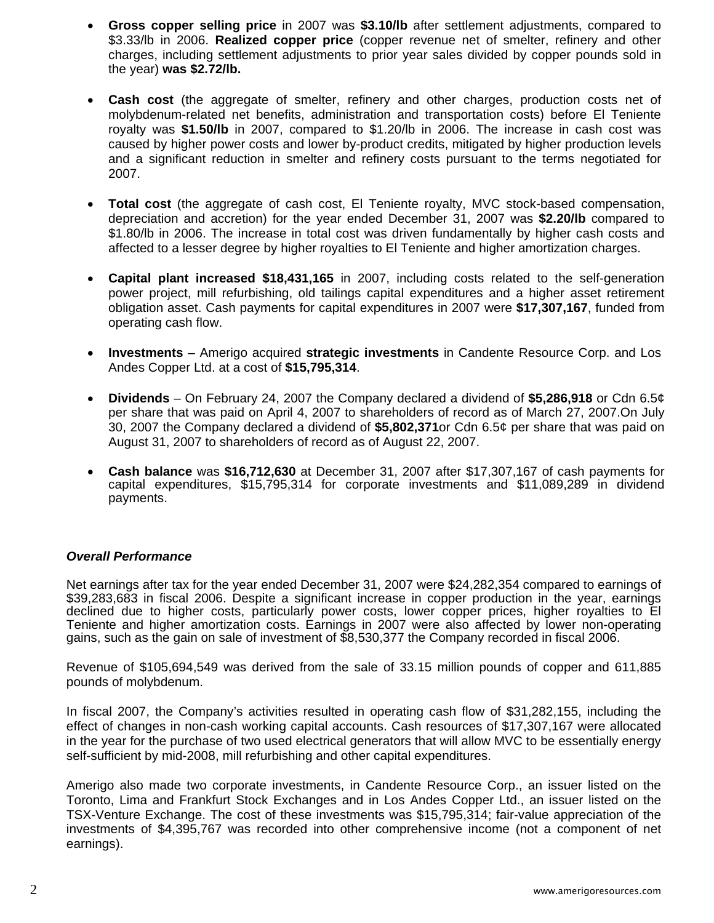- **Gross copper selling price** in 2007 was **\$3.10/lb** after settlement adjustments, compared to \$3.33/lb in 2006. **Realized copper price** (copper revenue net of smelter, refinery and other charges, including settlement adjustments to prior year sales divided by copper pounds sold in the year) **was \$2.72/lb.**
- **Cash cost** (the aggregate of smelter, refinery and other charges, production costs net of molybdenum-related net benefits, administration and transportation costs) before El Teniente royalty was **\$1.50/lb** in 2007, compared to \$1.20/lb in 2006. The increase in cash cost was caused by higher power costs and lower by-product credits, mitigated by higher production levels and a significant reduction in smelter and refinery costs pursuant to the terms negotiated for 2007.
- **Total cost** (the aggregate of cash cost, El Teniente royalty, MVC stock-based compensation, depreciation and accretion) for the year ended December 31, 2007 was **\$2.20/lb** compared to \$1.80/lb in 2006. The increase in total cost was driven fundamentally by higher cash costs and affected to a lesser degree by higher royalties to El Teniente and higher amortization charges.
- **Capital plant increased \$18,431,165** in 2007, including costs related to the self-generation power project, mill refurbishing, old tailings capital expenditures and a higher asset retirement obligation asset. Cash payments for capital expenditures in 2007 were **\$17,307,167**, funded from operating cash flow.
- **Investments** Amerigo acquired **strategic investments** in Candente Resource Corp. and Los Andes Copper Ltd. at a cost of **\$15,795,314**.
- **Dividends**  On February 24, 2007 the Company declared a dividend of **\$5,286,918** or Cdn 6.5¢ per share that was paid on April 4, 2007 to shareholders of record as of March 27, 2007.On July 30, 2007 the Company declared a dividend of **\$5,802,371**or Cdn 6.5¢ per share that was paid on August 31, 2007 to shareholders of record as of August 22, 2007.
- **Cash balance** was **\$16,712,630** at December 31, 2007 after \$17,307,167 of cash payments for capital expenditures, \$15,795,314 for corporate investments and \$11,089,289 in dividend payments.

### *Overall Performance*

Net earnings after tax for the year ended December 31, 2007 were \$24,282,354 compared to earnings of \$39,283,683 in fiscal 2006. Despite a significant increase in copper production in the year, earnings declined due to higher costs, particularly power costs, lower copper prices, higher royalties to El Teniente and higher amortization costs. Earnings in 2007 were also affected by lower non-operating gains, such as the gain on sale of investment of \$8,530,377 the Company recorded in fiscal 2006.

Revenue of \$105,694,549 was derived from the sale of 33.15 million pounds of copper and 611,885 pounds of molybdenum.

In fiscal 2007, the Company's activities resulted in operating cash flow of \$31,282,155, including the effect of changes in non-cash working capital accounts. Cash resources of \$17,307,167 were allocated in the year for the purchase of two used electrical generators that will allow MVC to be essentially energy self-sufficient by mid-2008, mill refurbishing and other capital expenditures.

Amerigo also made two corporate investments, in Candente Resource Corp., an issuer listed on the Toronto, Lima and Frankfurt Stock Exchanges and in Los Andes Copper Ltd., an issuer listed on the TSX-Venture Exchange. The cost of these investments was \$15,795,314; fair-value appreciation of the investments of \$4,395,767 was recorded into other comprehensive income (not a component of net earnings).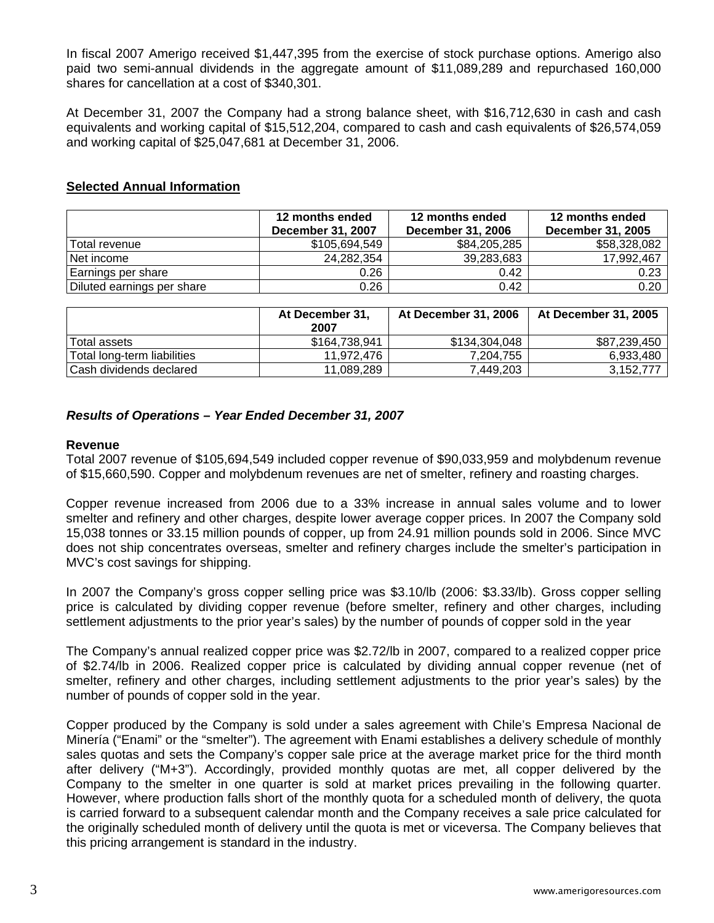In fiscal 2007 Amerigo received \$1,447,395 from the exercise of stock purchase options. Amerigo also paid two semi-annual dividends in the aggregate amount of \$11,089,289 and repurchased 160,000 shares for cancellation at a cost of \$340,301.

At December 31, 2007 the Company had a strong balance sheet, with \$16,712,630 in cash and cash equivalents and working capital of \$15,512,204, compared to cash and cash equivalents of \$26,574,059 and working capital of \$25,047,681 at December 31, 2006.

## **Selected Annual Information**

|                            | 12 months ended<br>December 31, 2007 | 12 months ended<br><b>December 31, 2006</b> | 12 months ended<br><b>December 31, 2005</b> |
|----------------------------|--------------------------------------|---------------------------------------------|---------------------------------------------|
| Total revenue              | \$105,694,549                        | \$84,205,285                                | \$58,328,082                                |
| Net income                 | 24,282,354                           | 39,283,683                                  | 17,992,467                                  |
| Earnings per share         | 0.26                                 | 0.42                                        | 0.23                                        |
| Diluted earnings per share | 0.26                                 | 0.42                                        | 0.20                                        |

|                             | At December 31,<br>2007 | At December 31, 2006 | At December 31, 2005 |
|-----------------------------|-------------------------|----------------------|----------------------|
| Total assets                | \$164.738.941           | \$134,304,048        | \$87,239,450         |
| Total long-term liabilities | 11.972.476              | 7.204.755            | 6.933.480            |
| Cash dividends declared     | 11.089.289              | 7,449,203            | 3.152.777            |

## *Results of Operations – Year Ended December 31, 2007*

#### **Revenue**

Total 2007 revenue of \$105,694,549 included copper revenue of \$90,033,959 and molybdenum revenue of \$15,660,590. Copper and molybdenum revenues are net of smelter, refinery and roasting charges.

Copper revenue increased from 2006 due to a 33% increase in annual sales volume and to lower smelter and refinery and other charges, despite lower average copper prices. In 2007 the Company sold 15,038 tonnes or 33.15 million pounds of copper, up from 24.91 million pounds sold in 2006. Since MVC does not ship concentrates overseas, smelter and refinery charges include the smelter's participation in MVC's cost savings for shipping.

In 2007 the Company's gross copper selling price was \$3.10/lb (2006: \$3.33/lb). Gross copper selling price is calculated by dividing copper revenue (before smelter, refinery and other charges, including settlement adjustments to the prior year's sales) by the number of pounds of copper sold in the year

The Company's annual realized copper price was \$2.72/lb in 2007, compared to a realized copper price of \$2.74/lb in 2006. Realized copper price is calculated by dividing annual copper revenue (net of smelter, refinery and other charges, including settlement adjustments to the prior year's sales) by the number of pounds of copper sold in the year.

Copper produced by the Company is sold under a sales agreement with Chile's Empresa Nacional de Minería ("Enami" or the "smelter"). The agreement with Enami establishes a delivery schedule of monthly sales quotas and sets the Company's copper sale price at the average market price for the third month after delivery ("M+3"). Accordingly, provided monthly quotas are met, all copper delivered by the Company to the smelter in one quarter is sold at market prices prevailing in the following quarter. However, where production falls short of the monthly quota for a scheduled month of delivery, the quota is carried forward to a subsequent calendar month and the Company receives a sale price calculated for the originally scheduled month of delivery until the quota is met or viceversa. The Company believes that this pricing arrangement is standard in the industry.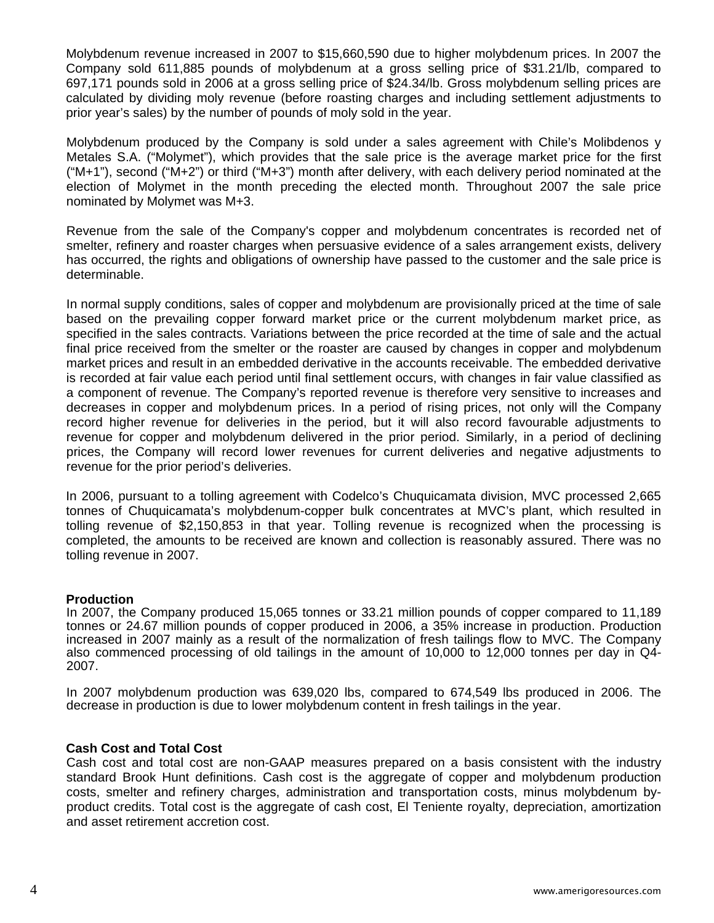Molybdenum revenue increased in 2007 to \$15,660,590 due to higher molybdenum prices. In 2007 the Company sold 611,885 pounds of molybdenum at a gross selling price of \$31.21/lb, compared to 697,171 pounds sold in 2006 at a gross selling price of \$24.34/lb. Gross molybdenum selling prices are calculated by dividing moly revenue (before roasting charges and including settlement adjustments to prior year's sales) by the number of pounds of moly sold in the year.

Molybdenum produced by the Company is sold under a sales agreement with Chile's Molibdenos y Metales S.A. ("Molymet"), which provides that the sale price is the average market price for the first ("M+1"), second ("M+2") or third ("M+3") month after delivery, with each delivery period nominated at the election of Molymet in the month preceding the elected month. Throughout 2007 the sale price nominated by Molymet was M+3.

Revenue from the sale of the Company's copper and molybdenum concentrates is recorded net of smelter, refinery and roaster charges when persuasive evidence of a sales arrangement exists, delivery has occurred, the rights and obligations of ownership have passed to the customer and the sale price is determinable.

In normal supply conditions, sales of copper and molybdenum are provisionally priced at the time of sale based on the prevailing copper forward market price or the current molybdenum market price, as specified in the sales contracts. Variations between the price recorded at the time of sale and the actual final price received from the smelter or the roaster are caused by changes in copper and molybdenum market prices and result in an embedded derivative in the accounts receivable. The embedded derivative is recorded at fair value each period until final settlement occurs, with changes in fair value classified as a component of revenue. The Company's reported revenue is therefore very sensitive to increases and decreases in copper and molybdenum prices. In a period of rising prices, not only will the Company record higher revenue for deliveries in the period, but it will also record favourable adjustments to revenue for copper and molybdenum delivered in the prior period. Similarly, in a period of declining prices, the Company will record lower revenues for current deliveries and negative adjustments to revenue for the prior period's deliveries.

In 2006, pursuant to a tolling agreement with Codelco's Chuquicamata division, MVC processed 2,665 tonnes of Chuquicamata's molybdenum-copper bulk concentrates at MVC's plant, which resulted in tolling revenue of \$2,150,853 in that year. Tolling revenue is recognized when the processing is completed, the amounts to be received are known and collection is reasonably assured. There was no tolling revenue in 2007.

### **Production**

In 2007, the Company produced 15,065 tonnes or 33.21 million pounds of copper compared to 11,189 tonnes or 24.67 million pounds of copper produced in 2006, a 35% increase in production. Production increased in 2007 mainly as a result of the normalization of fresh tailings flow to MVC. The Company also commenced processing of old tailings in the amount of 10,000 to 12,000 tonnes per day in Q4- 2007.

In 2007 molybdenum production was 639,020 lbs, compared to 674,549 lbs produced in 2006. The decrease in production is due to lower molybdenum content in fresh tailings in the year.

#### **Cash Cost and Total Cost**

Cash cost and total cost are non-GAAP measures prepared on a basis consistent with the industry standard Brook Hunt definitions. Cash cost is the aggregate of copper and molybdenum production costs, smelter and refinery charges, administration and transportation costs, minus molybdenum byproduct credits. Total cost is the aggregate of cash cost, El Teniente royalty, depreciation, amortization and asset retirement accretion cost.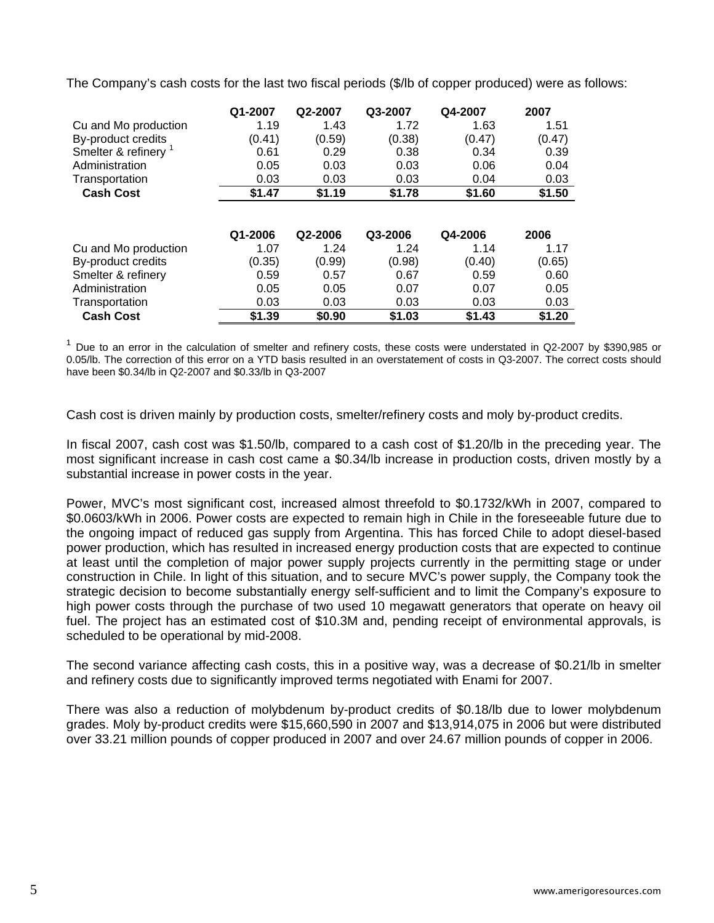The Company's cash costs for the last two fiscal periods (\$/lb of copper produced) were as follows:

|                      | Q1-2007 | Q2-2007 | Q3-2007 | Q4-2007 | 2007   |
|----------------------|---------|---------|---------|---------|--------|
| Cu and Mo production | 1.19    | 1.43    | 1.72    | 1.63    | 1.51   |
| By-product credits   | (0.41)  | (0.59)  | (0.38)  | (0.47)  | (0.47) |
| Smelter & refinery   | 0.61    | 0.29    | 0.38    | 0.34    | 0.39   |
| Administration       | 0.05    | 0.03    | 0.03    | 0.06    | 0.04   |
| Transportation       | 0.03    | 0.03    | 0.03    | 0.04    | 0.03   |
| <b>Cash Cost</b>     | \$1.47  | \$1.19  | \$1.78  | \$1.60  | \$1.50 |
|                      | Q1-2006 | Q2-2006 | Q3-2006 | Q4-2006 | 2006   |
| Cu and Mo production | 1.07    | 1.24    | 1.24    | 1.14    | 1.17   |
| By-product credits   | (0.35)  | (0.99)  | (0.98)  | (0.40)  | (0.65) |
| Smelter & refinery   | 0.59    | 0.57    | 0.67    | 0.59    | 0.60   |
| Administration       | 0.05    | 0.05    | 0.07    | 0.07    | 0.05   |
| Transportation       | 0.03    | 0.03    | 0.03    | 0.03    | 0.03   |
| <b>Cash Cost</b>     | \$1.39  | \$0.90  | \$1.03  | \$1.43  | \$1.20 |

 $1$  Due to an error in the calculation of smelter and refinery costs, these costs were understated in Q2-2007 by \$390,985 or 0.05/lb. The correction of this error on a YTD basis resulted in an overstatement of costs in Q3-2007. The correct costs should have been \$0.34/lb in Q2-2007 and \$0.33/lb in Q3-2007

Cash cost is driven mainly by production costs, smelter/refinery costs and moly by-product credits.

In fiscal 2007, cash cost was \$1.50/lb, compared to a cash cost of \$1.20/lb in the preceding year. The most significant increase in cash cost came a \$0.34/lb increase in production costs, driven mostly by a substantial increase in power costs in the year.

Power, MVC's most significant cost, increased almost threefold to \$0.1732/kWh in 2007, compared to \$0.0603/kWh in 2006. Power costs are expected to remain high in Chile in the foreseeable future due to the ongoing impact of reduced gas supply from Argentina. This has forced Chile to adopt diesel-based power production, which has resulted in increased energy production costs that are expected to continue at least until the completion of major power supply projects currently in the permitting stage or under construction in Chile. In light of this situation, and to secure MVC's power supply, the Company took the strategic decision to become substantially energy self-sufficient and to limit the Company's exposure to high power costs through the purchase of two used 10 megawatt generators that operate on heavy oil fuel. The project has an estimated cost of \$10.3M and, pending receipt of environmental approvals, is scheduled to be operational by mid-2008.

The second variance affecting cash costs, this in a positive way, was a decrease of \$0.21/lb in smelter and refinery costs due to significantly improved terms negotiated with Enami for 2007.

There was also a reduction of molybdenum by-product credits of \$0.18/lb due to lower molybdenum grades. Moly by-product credits were \$15,660,590 in 2007 and \$13,914,075 in 2006 but were distributed over 33.21 million pounds of copper produced in 2007 and over 24.67 million pounds of copper in 2006.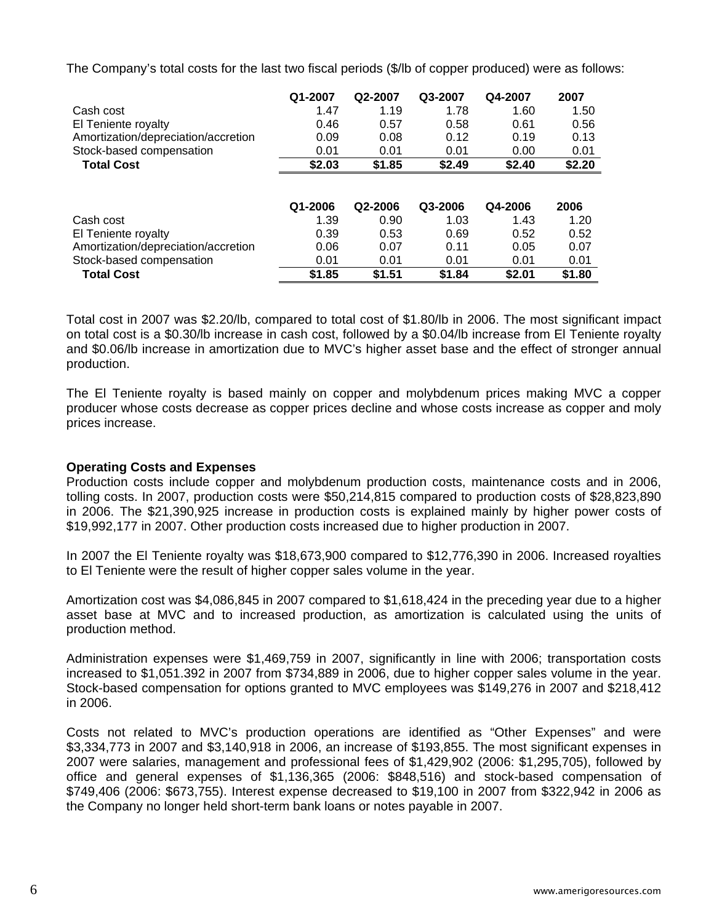The Company's total costs for the last two fiscal periods (\$/lb of copper produced) were as follows:

|                                     | Q1-2007 | Q2-2007 | Q3-2007 | Q4-2007 | 2007   |
|-------------------------------------|---------|---------|---------|---------|--------|
| Cash cost                           | 1.47    | 1.19    | 1.78    | 1.60    | 1.50   |
| El Teniente royalty                 | 0.46    | 0.57    | 0.58    | 0.61    | 0.56   |
| Amortization/depreciation/accretion | 0.09    | 0.08    | 0.12    | 0.19    | 0.13   |
| Stock-based compensation            | 0.01    | 0.01    | 0.01    | 0.00    | 0.01   |
| <b>Total Cost</b>                   | \$2.03  | \$1.85  | \$2.49  | \$2.40  | \$2.20 |
|                                     | Q1-2006 | Q2-2006 | Q3-2006 | Q4-2006 | 2006   |
| Cash cost                           | 1.39    | 0.90    | 1.03    | 1.43    | 1.20   |
| El Teniente royalty                 | 0.39    | 0.53    | 0.69    | 0.52    | 0.52   |
| Amortization/depreciation/accretion | 0.06    | 0.07    | 0.11    | 0.05    | 0.07   |
| Stock-based compensation            | 0.01    | 0.01    | 0.01    | 0.01    | 0.01   |
| <b>Total Cost</b>                   | \$1.85  | \$1.51  | \$1.84  | \$2.01  | \$1.80 |

Total cost in 2007 was \$2.20/lb, compared to total cost of \$1.80/lb in 2006. The most significant impact on total cost is a \$0.30/lb increase in cash cost, followed by a \$0.04/lb increase from El Teniente royalty and \$0.06/lb increase in amortization due to MVC's higher asset base and the effect of stronger annual production.

The El Teniente royalty is based mainly on copper and molybdenum prices making MVC a copper producer whose costs decrease as copper prices decline and whose costs increase as copper and moly prices increase.

### **Operating Costs and Expenses**

Production costs include copper and molybdenum production costs, maintenance costs and in 2006, tolling costs. In 2007, production costs were \$50,214,815 compared to production costs of \$28,823,890 in 2006. The \$21,390,925 increase in production costs is explained mainly by higher power costs of \$19,992,177 in 2007. Other production costs increased due to higher production in 2007.

In 2007 the El Teniente royalty was \$18,673,900 compared to \$12,776,390 in 2006. Increased royalties to El Teniente were the result of higher copper sales volume in the year.

Amortization cost was \$4,086,845 in 2007 compared to \$1,618,424 in the preceding year due to a higher asset base at MVC and to increased production, as amortization is calculated using the units of production method.

Administration expenses were \$1,469,759 in 2007, significantly in line with 2006; transportation costs increased to \$1,051.392 in 2007 from \$734,889 in 2006, due to higher copper sales volume in the year. Stock-based compensation for options granted to MVC employees was \$149,276 in 2007 and \$218,412 in 2006.

Costs not related to MVC's production operations are identified as "Other Expenses" and were \$3,334,773 in 2007 and \$3,140,918 in 2006, an increase of \$193,855. The most significant expenses in 2007 were salaries, management and professional fees of \$1,429,902 (2006: \$1,295,705), followed by office and general expenses of \$1,136,365 (2006: \$848,516) and stock-based compensation of \$749,406 (2006: \$673,755). Interest expense decreased to \$19,100 in 2007 from \$322,942 in 2006 as the Company no longer held short-term bank loans or notes payable in 2007.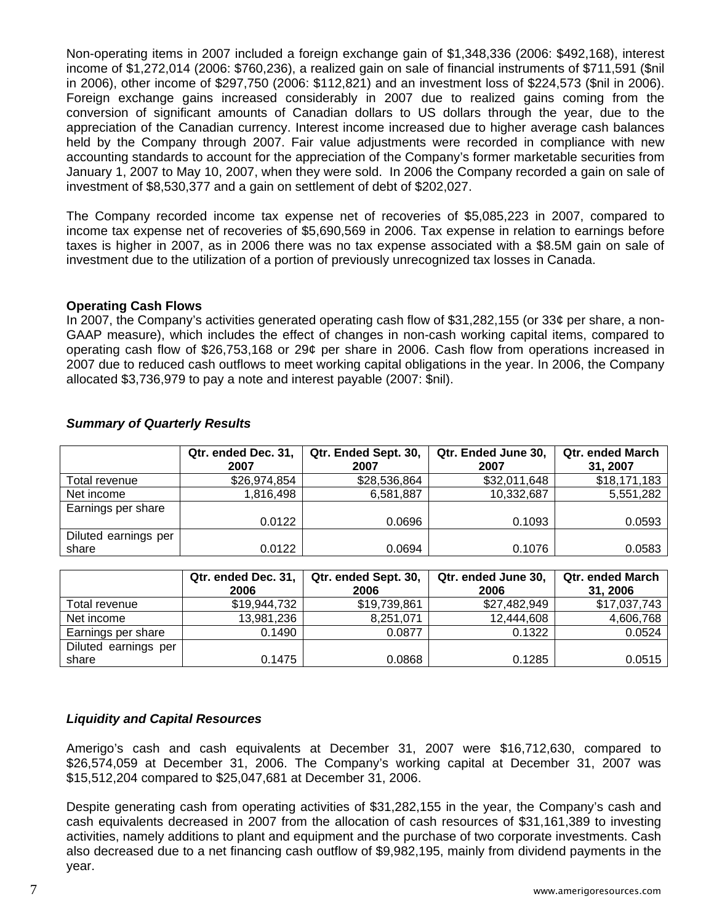Non-operating items in 2007 included a foreign exchange gain of \$1,348,336 (2006: \$492,168), interest income of \$1,272,014 (2006: \$760,236), a realized gain on sale of financial instruments of \$711,591 (\$nil in 2006), other income of \$297,750 (2006: \$112,821) and an investment loss of \$224,573 (\$nil in 2006). Foreign exchange gains increased considerably in 2007 due to realized gains coming from the conversion of significant amounts of Canadian dollars to US dollars through the year, due to the appreciation of the Canadian currency. Interest income increased due to higher average cash balances held by the Company through 2007. Fair value adjustments were recorded in compliance with new accounting standards to account for the appreciation of the Company's former marketable securities from January 1, 2007 to May 10, 2007, when they were sold. In 2006 the Company recorded a gain on sale of investment of \$8,530,377 and a gain on settlement of debt of \$202,027.

The Company recorded income tax expense net of recoveries of \$5,085,223 in 2007, compared to income tax expense net of recoveries of \$5,690,569 in 2006. Tax expense in relation to earnings before taxes is higher in 2007, as in 2006 there was no tax expense associated with a \$8.5M gain on sale of investment due to the utilization of a portion of previously unrecognized tax losses in Canada.

### **Operating Cash Flows**

In 2007, the Company's activities generated operating cash flow of \$31,282,155 (or 33¢ per share, a non-GAAP measure), which includes the effect of changes in non-cash working capital items, compared to operating cash flow of \$26,753,168 or 29¢ per share in 2006. Cash flow from operations increased in 2007 due to reduced cash outflows to meet working capital obligations in the year. In 2006, the Company allocated \$3,736,979 to pay a note and interest payable (2007: \$nil).

|                      | Qtr. ended Dec. 31,<br>2007 | Qtr. Ended Sept. 30,<br>2007 | Qtr. Ended June 30,<br>2007 | <b>Qtr. ended March</b><br>31, 2007 |
|----------------------|-----------------------------|------------------------------|-----------------------------|-------------------------------------|
| Total revenue        | \$26,974,854                | \$28,536,864                 | \$32,011,648                | \$18,171,183                        |
| Net income           | 1,816,498                   | 6,581,887                    | 10,332,687                  | 5,551,282                           |
| Earnings per share   |                             |                              |                             |                                     |
|                      | 0.0122                      | 0.0696                       | 0.1093                      | 0.0593                              |
| Diluted earnings per |                             |                              |                             |                                     |
| share                | 0.0122                      | 0.0694                       | 0.1076                      | 0.0583                              |

### *Summary of Quarterly Results*

|                      | Qtr. ended Dec. 31,<br>2006 | Qtr. ended Sept. 30,<br>2006 | Qtr. ended June 30,<br>2006 | <b>Qtr. ended March</b><br>31, 2006 |
|----------------------|-----------------------------|------------------------------|-----------------------------|-------------------------------------|
| Total revenue        | \$19,944,732                | \$19,739,861                 | \$27,482,949                | \$17,037,743                        |
| Net income           | 13.981.236                  | 8.251.071                    | 12,444,608                  | 4,606,768                           |
| Earnings per share   | 0.1490                      | 0.0877                       | 0.1322                      | 0.0524                              |
| Diluted earnings per |                             |                              |                             |                                     |
| share                | 0.1475                      | 0.0868                       | 0.1285                      | 0.0515                              |

# *Liquidity and Capital Resources*

Amerigo's cash and cash equivalents at December 31, 2007 were \$16,712,630, compared to \$26,574,059 at December 31, 2006. The Company's working capital at December 31, 2007 was \$15,512,204 compared to \$25,047,681 at December 31, 2006.

Despite generating cash from operating activities of \$31,282,155 in the year, the Company's cash and cash equivalents decreased in 2007 from the allocation of cash resources of \$31,161,389 to investing activities, namely additions to plant and equipment and the purchase of two corporate investments. Cash also decreased due to a net financing cash outflow of \$9,982,195, mainly from dividend payments in the year.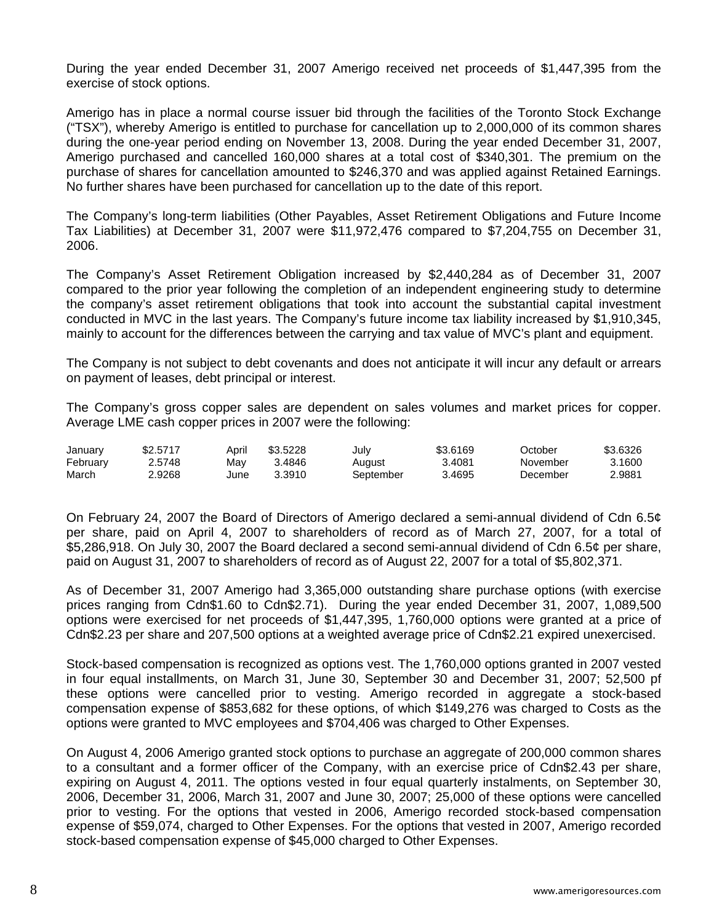During the year ended December 31, 2007 Amerigo received net proceeds of \$1,447,395 from the exercise of stock options.

Amerigo has in place a normal course issuer bid through the facilities of the Toronto Stock Exchange ("TSX"), whereby Amerigo is entitled to purchase for cancellation up to 2,000,000 of its common shares during the one-year period ending on November 13, 2008. During the year ended December 31, 2007, Amerigo purchased and cancelled 160,000 shares at a total cost of \$340,301. The premium on the purchase of shares for cancellation amounted to \$246,370 and was applied against Retained Earnings. No further shares have been purchased for cancellation up to the date of this report.

The Company's long-term liabilities (Other Payables, Asset Retirement Obligations and Future Income Tax Liabilities) at December 31, 2007 were \$11,972,476 compared to \$7,204,755 on December 31, 2006.

The Company's Asset Retirement Obligation increased by \$2,440,284 as of December 31, 2007 compared to the prior year following the completion of an independent engineering study to determine the company's asset retirement obligations that took into account the substantial capital investment conducted in MVC in the last years. The Company's future income tax liability increased by \$1,910,345, mainly to account for the differences between the carrying and tax value of MVC's plant and equipment.

The Company is not subject to debt covenants and does not anticipate it will incur any default or arrears on payment of leases, debt principal or interest.

The Company's gross copper sales are dependent on sales volumes and market prices for copper. Average LME cash copper prices in 2007 were the following:

| January  | \$2,5717 | April | \$3.5228 | July      | \$3.6169 | October  | \$3.6326 |
|----------|----------|-------|----------|-----------|----------|----------|----------|
| February | 2.5748   | Mav   | 3.4846   | August    | 3.4081   | November | 3.1600   |
| March    | 2.9268   | June  | 3.3910   | September | 3.4695   | December | 2.9881   |

On February 24, 2007 the Board of Directors of Amerigo declared a semi-annual dividend of Cdn 6.5¢ per share, paid on April 4, 2007 to shareholders of record as of March 27, 2007, for a total of \$5,286,918. On July 30, 2007 the Board declared a second semi-annual dividend of Cdn 6.5¢ per share, paid on August 31, 2007 to shareholders of record as of August 22, 2007 for a total of \$5,802,371.

As of December 31, 2007 Amerigo had 3,365,000 outstanding share purchase options (with exercise prices ranging from Cdn\$1.60 to Cdn\$2.71). During the year ended December 31, 2007, 1,089,500 options were exercised for net proceeds of \$1,447,395, 1,760,000 options were granted at a price of Cdn\$2.23 per share and 207,500 options at a weighted average price of Cdn\$2.21 expired unexercised.

Stock-based compensation is recognized as options vest. The 1,760,000 options granted in 2007 vested in four equal installments, on March 31, June 30, September 30 and December 31, 2007; 52,500 pf these options were cancelled prior to vesting. Amerigo recorded in aggregate a stock-based compensation expense of \$853,682 for these options, of which \$149,276 was charged to Costs as the options were granted to MVC employees and \$704,406 was charged to Other Expenses.

On August 4, 2006 Amerigo granted stock options to purchase an aggregate of 200,000 common shares to a consultant and a former officer of the Company, with an exercise price of Cdn\$2.43 per share, expiring on August 4, 2011. The options vested in four equal quarterly instalments, on September 30, 2006, December 31, 2006, March 31, 2007 and June 30, 2007; 25,000 of these options were cancelled prior to vesting. For the options that vested in 2006, Amerigo recorded stock-based compensation expense of \$59,074, charged to Other Expenses. For the options that vested in 2007, Amerigo recorded stock-based compensation expense of \$45,000 charged to Other Expenses.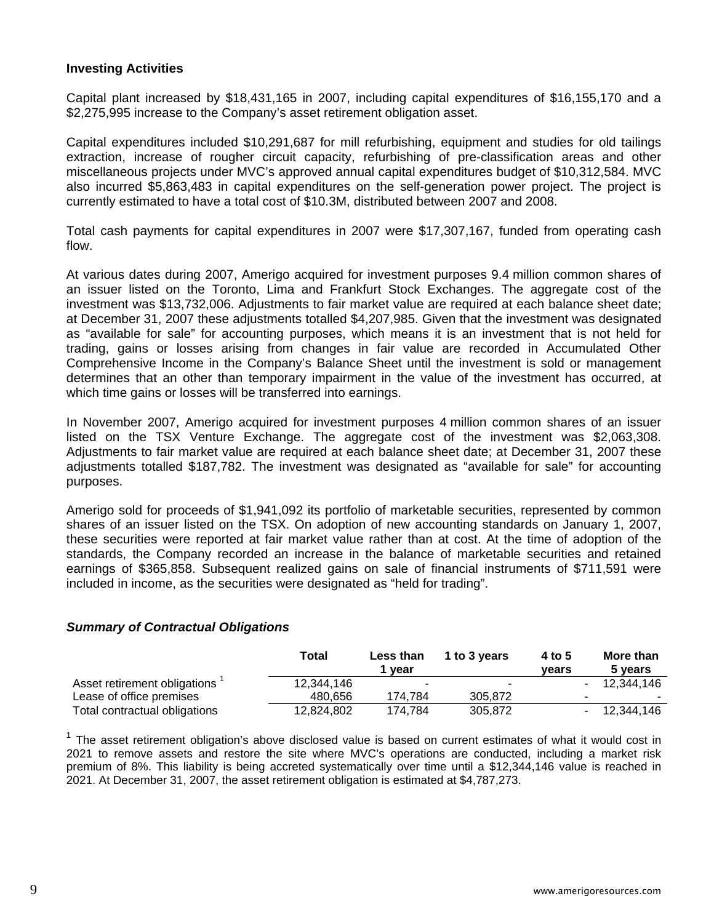### **Investing Activities**

Capital plant increased by \$18,431,165 in 2007, including capital expenditures of \$16,155,170 and a \$2,275,995 increase to the Company's asset retirement obligation asset.

Capital expenditures included \$10,291,687 for mill refurbishing, equipment and studies for old tailings extraction, increase of rougher circuit capacity, refurbishing of pre-classification areas and other miscellaneous projects under MVC's approved annual capital expenditures budget of \$10,312,584. MVC also incurred \$5,863,483 in capital expenditures on the self-generation power project. The project is currently estimated to have a total cost of \$10.3M, distributed between 2007 and 2008.

Total cash payments for capital expenditures in 2007 were \$17,307,167, funded from operating cash flow.

At various dates during 2007, Amerigo acquired for investment purposes 9.4 million common shares of an issuer listed on the Toronto, Lima and Frankfurt Stock Exchanges. The aggregate cost of the investment was \$13,732,006. Adjustments to fair market value are required at each balance sheet date; at December 31, 2007 these adjustments totalled \$4,207,985. Given that the investment was designated as "available for sale" for accounting purposes, which means it is an investment that is not held for trading, gains or losses arising from changes in fair value are recorded in Accumulated Other Comprehensive Income in the Company's Balance Sheet until the investment is sold or management determines that an other than temporary impairment in the value of the investment has occurred, at which time gains or losses will be transferred into earnings.

In November 2007, Amerigo acquired for investment purposes 4 million common shares of an issuer listed on the TSX Venture Exchange. The aggregate cost of the investment was \$2,063,308. Adjustments to fair market value are required at each balance sheet date; at December 31, 2007 these adjustments totalled \$187,782. The investment was designated as "available for sale" for accounting purposes.

Amerigo sold for proceeds of \$1,941,092 its portfolio of marketable securities, represented by common shares of an issuer listed on the TSX. On adoption of new accounting standards on January 1, 2007, these securities were reported at fair market value rather than at cost. At the time of adoption of the standards, the Company recorded an increase in the balance of marketable securities and retained earnings of \$365,858. Subsequent realized gains on sale of financial instruments of \$711,591 were included in income, as the securities were designated as "held for trading".

### *Summary of Contractual Obligations*

|                               | Total      | Less than<br>* year | 1 to 3 years | 4 to 5<br>vears | More than<br>5 years |
|-------------------------------|------------|---------------------|--------------|-----------------|----------------------|
| Asset retirement obligations  | 12.344.146 | $\sim$              |              |                 | - 12.344.146         |
| Lease of office premises      | 480.656    | 174.784             | 305.872      |                 |                      |
| Total contractual obligations | 12.824.802 | 174.784             | 305.872      |                 | - 12.344.146         |

 $<sup>1</sup>$  The asset retirement obligation's above disclosed value is based on current estimates of what it would cost in</sup> 2021 to remove assets and restore the site where MVC's operations are conducted, including a market risk premium of 8%. This liability is being accreted systematically over time until a \$12,344,146 value is reached in 2021. At December 31, 2007, the asset retirement obligation is estimated at \$4,787,273.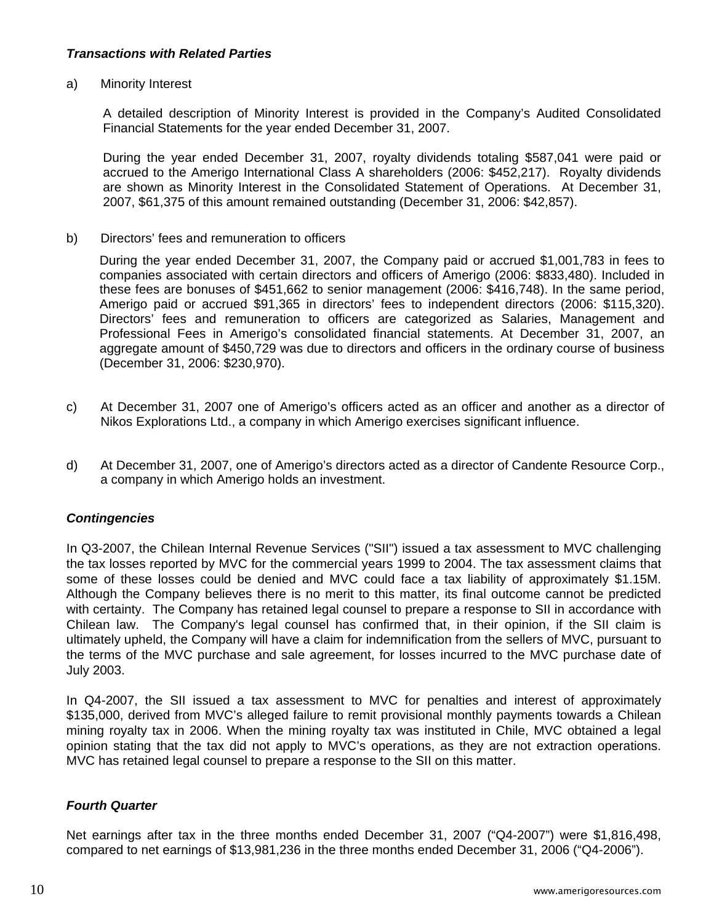# *Transactions with Related Parties*

### a) Minority Interest

A detailed description of Minority Interest is provided in the Company's Audited Consolidated Financial Statements for the year ended December 31, 2007.

During the year ended December 31, 2007, royalty dividends totaling \$587,041 were paid or accrued to the Amerigo International Class A shareholders (2006: \$452,217). Royalty dividends are shown as Minority Interest in the Consolidated Statement of Operations. At December 31, 2007, \$61,375 of this amount remained outstanding (December 31, 2006: \$42,857).

b) Directors' fees and remuneration to officers

 During the year ended December 31, 2007, the Company paid or accrued \$1,001,783 in fees to companies associated with certain directors and officers of Amerigo (2006: \$833,480). Included in these fees are bonuses of \$451,662 to senior management (2006: \$416,748). In the same period, Amerigo paid or accrued \$91,365 in directors' fees to independent directors (2006: \$115,320). Directors' fees and remuneration to officers are categorized as Salaries, Management and Professional Fees in Amerigo's consolidated financial statements. At December 31, 2007, an aggregate amount of \$450,729 was due to directors and officers in the ordinary course of business (December 31, 2006: \$230,970).

- c) At December 31, 2007 one of Amerigo's officers acted as an officer and another as a director of Nikos Explorations Ltd., a company in which Amerigo exercises significant influence.
- d) At December 31, 2007, one of Amerigo's directors acted as a director of Candente Resource Corp., a company in which Amerigo holds an investment.

# *Contingencies*

In Q3-2007, the Chilean Internal Revenue Services ("SII") issued a tax assessment to MVC challenging the tax losses reported by MVC for the commercial years 1999 to 2004. The tax assessment claims that some of these losses could be denied and MVC could face a tax liability of approximately \$1.15M. Although the Company believes there is no merit to this matter, its final outcome cannot be predicted with certainty. The Company has retained legal counsel to prepare a response to SII in accordance with Chilean law. The Company's legal counsel has confirmed that, in their opinion, if the SII claim is ultimately upheld, the Company will have a claim for indemnification from the sellers of MVC, pursuant to the terms of the MVC purchase and sale agreement, for losses incurred to the MVC purchase date of July 2003.

In Q4-2007, the SII issued a tax assessment to MVC for penalties and interest of approximately \$135,000, derived from MVC's alleged failure to remit provisional monthly payments towards a Chilean mining royalty tax in 2006. When the mining royalty tax was instituted in Chile, MVC obtained a legal opinion stating that the tax did not apply to MVC's operations, as they are not extraction operations. MVC has retained legal counsel to prepare a response to the SII on this matter.

### *Fourth Quarter*

Net earnings after tax in the three months ended December 31, 2007 ("Q4-2007") were \$1,816,498, compared to net earnings of \$13,981,236 in the three months ended December 31, 2006 ("Q4-2006").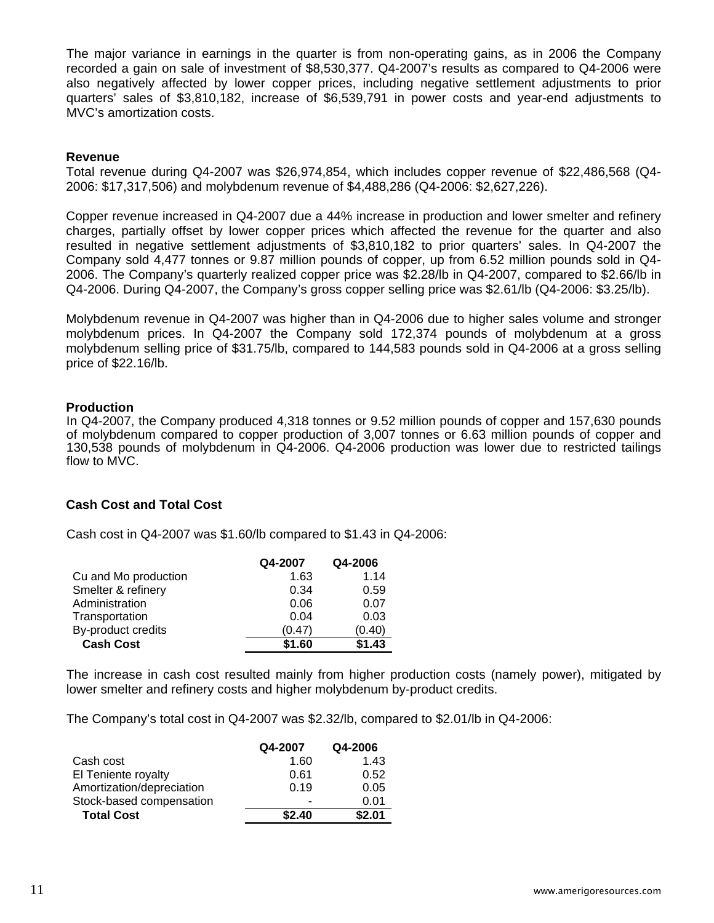The major variance in earnings in the quarter is from non-operating gains, as in 2006 the Company recorded a gain on sale of investment of \$8,530,377. Q4-2007's results as compared to Q4-2006 were also negatively affected by lower copper prices, including negative settlement adjustments to prior quarters' sales of \$3,810,182, increase of \$6,539,791 in power costs and year-end adjustments to MVC's amortization costs.

### **Revenue**

Total revenue during Q4-2007 was \$26,974,854, which includes copper revenue of \$22,486,568 (Q4- 2006: \$17,317,506) and molybdenum revenue of \$4,488,286 (Q4-2006: \$2,627,226).

Copper revenue increased in Q4-2007 due a 44% increase in production and lower smelter and refinery charges, partially offset by lower copper prices which affected the revenue for the quarter and also resulted in negative settlement adjustments of \$3,810,182 to prior quarters' sales. In Q4-2007 the Company sold 4,477 tonnes or 9.87 million pounds of copper, up from 6.52 million pounds sold in Q4- 2006. The Company's quarterly realized copper price was \$2.28/lb in Q4-2007, compared to \$2.66/lb in Q4-2006. During Q4-2007, the Company's gross copper selling price was \$2.61/lb (Q4-2006: \$3.25/lb).

Molybdenum revenue in Q4-2007 was higher than in Q4-2006 due to higher sales volume and stronger molybdenum prices. In Q4-2007 the Company sold 172,374 pounds of molybdenum at a gross molybdenum selling price of \$31.75/lb, compared to 144,583 pounds sold in Q4-2006 at a gross selling price of \$22.16/lb.

#### **Production**

In Q4-2007, the Company produced 4,318 tonnes or 9.52 million pounds of copper and 157,630 pounds of molybdenum compared to copper production of 3,007 tonnes or 6.63 million pounds of copper and 130,538 pounds of molybdenum in Q4-2006. Q4-2006 production was lower due to restricted tailings flow to MVC.

### **Cash Cost and Total Cost**

Cash cost in Q4-2007 was \$1.60/lb compared to \$1.43 in Q4-2006:

|                      | Q4-2007 | Q4-2006 |
|----------------------|---------|---------|
| Cu and Mo production | 1.63    | 1.14    |
| Smelter & refinery   | 0.34    | 0.59    |
| Administration       | 0.06    | 0.07    |
| Transportation       | 0.04    | 0.03    |
| By-product credits   | (0.47)  | (0.40)  |
| <b>Cash Cost</b>     | \$1.60  | \$1.43  |

The increase in cash cost resulted mainly from higher production costs (namely power), mitigated by lower smelter and refinery costs and higher molybdenum by-product credits.

The Company's total cost in Q4-2007 was \$2.32/lb, compared to \$2.01/lb in Q4-2006:

|                           | Q4-2007 | Q4-2006 |
|---------------------------|---------|---------|
| Cash cost                 | 1.60    | 1.43    |
| El Teniente royalty       | 0.61    | 0.52    |
| Amortization/depreciation | 0.19    | 0.05    |
| Stock-based compensation  |         | 0.01    |
| <b>Total Cost</b>         | \$2.40  | \$2.01  |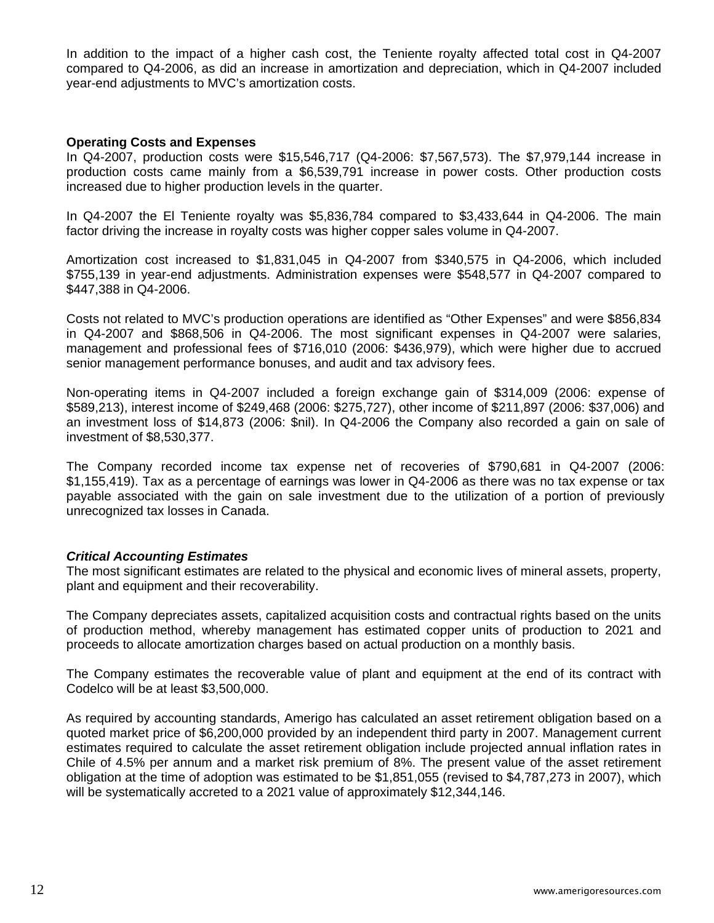In addition to the impact of a higher cash cost, the Teniente royalty affected total cost in Q4-2007 compared to Q4-2006, as did an increase in amortization and depreciation, which in Q4-2007 included year-end adjustments to MVC's amortization costs.

### **Operating Costs and Expenses**

In Q4-2007, production costs were \$15,546,717 (Q4-2006: \$7,567,573). The \$7,979,144 increase in production costs came mainly from a \$6,539,791 increase in power costs. Other production costs increased due to higher production levels in the quarter.

In Q4-2007 the El Teniente royalty was \$5,836,784 compared to \$3,433,644 in Q4-2006. The main factor driving the increase in royalty costs was higher copper sales volume in Q4-2007.

Amortization cost increased to \$1,831,045 in Q4-2007 from \$340,575 in Q4-2006, which included \$755,139 in year-end adjustments. Administration expenses were \$548,577 in Q4-2007 compared to \$447,388 in Q4-2006.

Costs not related to MVC's production operations are identified as "Other Expenses" and were \$856,834 in Q4-2007 and \$868,506 in Q4-2006. The most significant expenses in Q4-2007 were salaries, management and professional fees of \$716,010 (2006: \$436,979), which were higher due to accrued senior management performance bonuses, and audit and tax advisory fees.

Non-operating items in Q4-2007 included a foreign exchange gain of \$314,009 (2006: expense of \$589,213), interest income of \$249,468 (2006: \$275,727), other income of \$211,897 (2006: \$37,006) and an investment loss of \$14,873 (2006: \$nil). In Q4-2006 the Company also recorded a gain on sale of investment of \$8,530,377.

The Company recorded income tax expense net of recoveries of \$790,681 in Q4-2007 (2006: \$1,155,419). Tax as a percentage of earnings was lower in Q4-2006 as there was no tax expense or tax payable associated with the gain on sale investment due to the utilization of a portion of previously unrecognized tax losses in Canada.

### *Critical Accounting Estimates*

The most significant estimates are related to the physical and economic lives of mineral assets, property, plant and equipment and their recoverability.

The Company depreciates assets, capitalized acquisition costs and contractual rights based on the units of production method, whereby management has estimated copper units of production to 2021 and proceeds to allocate amortization charges based on actual production on a monthly basis.

The Company estimates the recoverable value of plant and equipment at the end of its contract with Codelco will be at least \$3,500,000.

As required by accounting standards, Amerigo has calculated an asset retirement obligation based on a quoted market price of \$6,200,000 provided by an independent third party in 2007. Management current estimates required to calculate the asset retirement obligation include projected annual inflation rates in Chile of 4.5% per annum and a market risk premium of 8%. The present value of the asset retirement obligation at the time of adoption was estimated to be \$1,851,055 (revised to \$4,787,273 in 2007), which will be systematically accreted to a 2021 value of approximately \$12,344,146.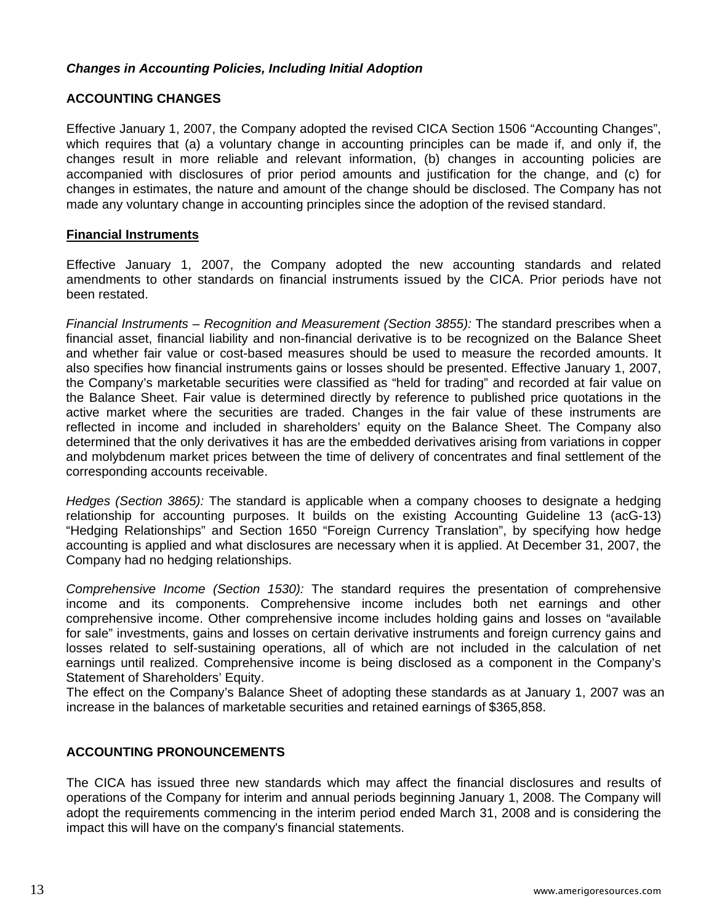# *Changes in Accounting Policies, Including Initial Adoption*

# **ACCOUNTING CHANGES**

Effective January 1, 2007, the Company adopted the revised CICA Section 1506 "Accounting Changes", which requires that (a) a voluntary change in accounting principles can be made if, and only if, the changes result in more reliable and relevant information, (b) changes in accounting policies are accompanied with disclosures of prior period amounts and justification for the change, and (c) for changes in estimates, the nature and amount of the change should be disclosed. The Company has not made any voluntary change in accounting principles since the adoption of the revised standard.

### **Financial Instruments**

Effective January 1, 2007, the Company adopted the new accounting standards and related amendments to other standards on financial instruments issued by the CICA. Prior periods have not been restated.

*Financial Instruments – Recognition and Measurement (Section 3855):* The standard prescribes when a financial asset, financial liability and non-financial derivative is to be recognized on the Balance Sheet and whether fair value or cost-based measures should be used to measure the recorded amounts. It also specifies how financial instruments gains or losses should be presented. Effective January 1, 2007, the Company's marketable securities were classified as "held for trading" and recorded at fair value on the Balance Sheet. Fair value is determined directly by reference to published price quotations in the active market where the securities are traded. Changes in the fair value of these instruments are reflected in income and included in shareholders' equity on the Balance Sheet. The Company also determined that the only derivatives it has are the embedded derivatives arising from variations in copper and molybdenum market prices between the time of delivery of concentrates and final settlement of the corresponding accounts receivable.

*Hedges (Section 3865):* The standard is applicable when a company chooses to designate a hedging relationship for accounting purposes. It builds on the existing Accounting Guideline 13 (acG-13) "Hedging Relationships" and Section 1650 "Foreign Currency Translation", by specifying how hedge accounting is applied and what disclosures are necessary when it is applied. At December 31, 2007, the Company had no hedging relationships.

*Comprehensive Income (Section 1530):* The standard requires the presentation of comprehensive income and its components. Comprehensive income includes both net earnings and other comprehensive income. Other comprehensive income includes holding gains and losses on "available for sale" investments, gains and losses on certain derivative instruments and foreign currency gains and losses related to self-sustaining operations, all of which are not included in the calculation of net earnings until realized. Comprehensive income is being disclosed as a component in the Company's Statement of Shareholders' Equity.

The effect on the Company's Balance Sheet of adopting these standards as at January 1, 2007 was an increase in the balances of marketable securities and retained earnings of \$365,858.

# **ACCOUNTING PRONOUNCEMENTS**

The CICA has issued three new standards which may affect the financial disclosures and results of operations of the Company for interim and annual periods beginning January 1, 2008. The Company will adopt the requirements commencing in the interim period ended March 31, 2008 and is considering the impact this will have on the company's financial statements.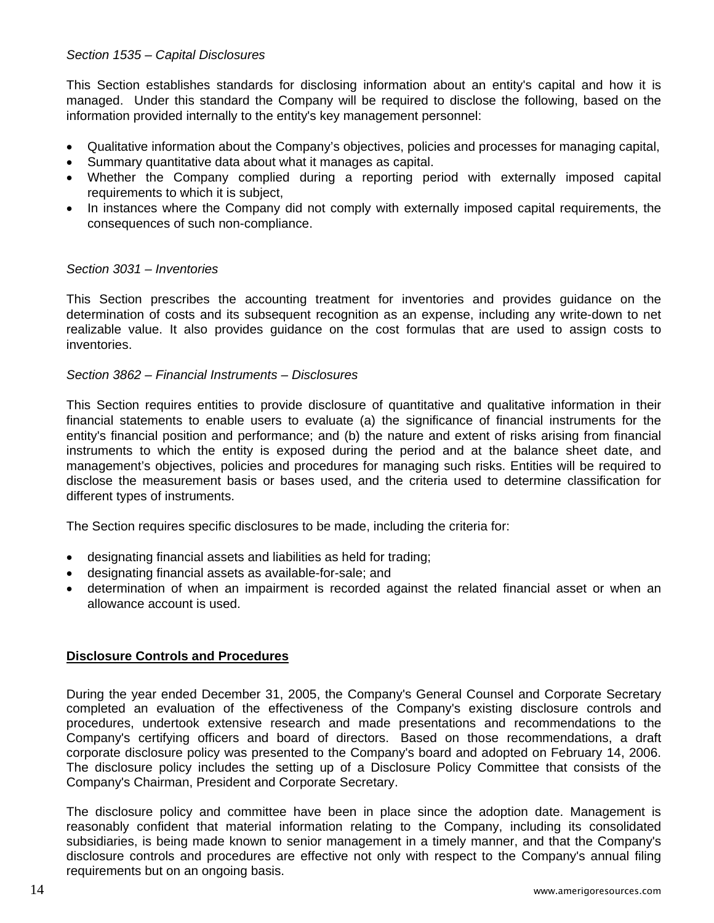# *Section 1535 – Capital Disclosures*

This Section establishes standards for disclosing information about an entity's capital and how it is managed. Under this standard the Company will be required to disclose the following, based on the information provided internally to the entity's key management personnel:

- Qualitative information about the Company's objectives, policies and processes for managing capital,
- Summary quantitative data about what it manages as capital.
- Whether the Company complied during a reporting period with externally imposed capital requirements to which it is subject,
- In instances where the Company did not comply with externally imposed capital requirements, the consequences of such non-compliance.

# *Section 3031 – Inventories*

This Section prescribes the accounting treatment for inventories and provides guidance on the determination of costs and its subsequent recognition as an expense, including any write-down to net realizable value. It also provides guidance on the cost formulas that are used to assign costs to inventories.

## *Section 3862 – Financial Instruments – Disclosures*

This Section requires entities to provide disclosure of quantitative and qualitative information in their financial statements to enable users to evaluate (a) the significance of financial instruments for the entity's financial position and performance; and (b) the nature and extent of risks arising from financial instruments to which the entity is exposed during the period and at the balance sheet date, and management's objectives, policies and procedures for managing such risks. Entities will be required to disclose the measurement basis or bases used, and the criteria used to determine classification for different types of instruments.

The Section requires specific disclosures to be made, including the criteria for:

- designating financial assets and liabilities as held for trading;
- designating financial assets as available-for-sale; and
- determination of when an impairment is recorded against the related financial asset or when an allowance account is used.

# **Disclosure Controls and Procedures**

During the year ended December 31, 2005, the Company's General Counsel and Corporate Secretary completed an evaluation of the effectiveness of the Company's existing disclosure controls and procedures, undertook extensive research and made presentations and recommendations to the Company's certifying officers and board of directors. Based on those recommendations, a draft corporate disclosure policy was presented to the Company's board and adopted on February 14, 2006. The disclosure policy includes the setting up of a Disclosure Policy Committee that consists of the Company's Chairman, President and Corporate Secretary.

The disclosure policy and committee have been in place since the adoption date. Management is reasonably confident that material information relating to the Company, including its consolidated subsidiaries, is being made known to senior management in a timely manner, and that the Company's disclosure controls and procedures are effective not only with respect to the Company's annual filing requirements but on an ongoing basis.